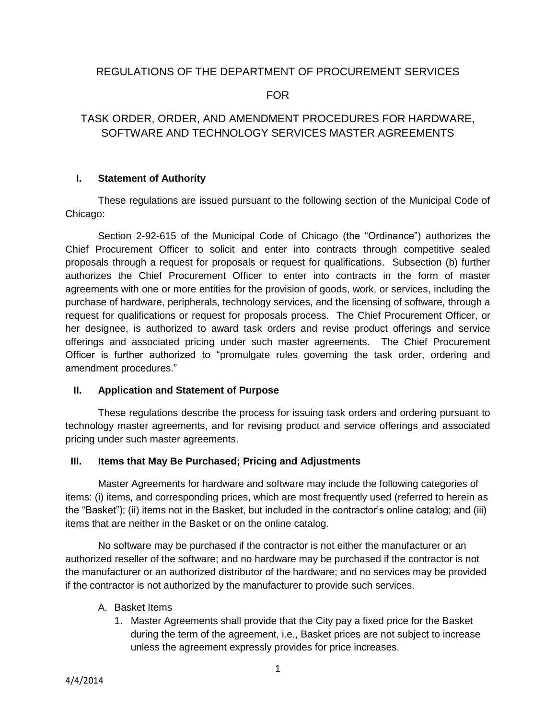# REGULATIONS OF THE DEPARTMENT OF PROCUREMENT SERVICES

FOR

# TASK ORDER, ORDER, AND AMENDMENT PROCEDURES FOR HARDWARE, SOFTWARE AND TECHNOLOGY SERVICES MASTER AGREEMENTS

## **I. Statement of Authority**

These regulations are issued pursuant to the following section of the Municipal Code of Chicago:

Section 2-92-615 of the Municipal Code of Chicago (the "Ordinance") authorizes the Chief Procurement Officer to solicit and enter into contracts through competitive sealed proposals through a request for proposals or request for qualifications. Subsection (b) further authorizes the Chief Procurement Officer to enter into contracts in the form of master agreements with one or more entities for the provision of goods, work, or services, including the purchase of hardware, peripherals, technology services, and the licensing of software, through a request for qualifications or request for proposals process. The Chief Procurement Officer, or her designee, is authorized to award task orders and revise product offerings and service offerings and associated pricing under such master agreements. The Chief Procurement Officer is further authorized to "promulgate rules governing the task order, ordering and amendment procedures."

#### **II. Application and Statement of Purpose**

These regulations describe the process for issuing task orders and ordering pursuant to technology master agreements, and for revising product and service offerings and associated pricing under such master agreements.

#### **III. Items that May Be Purchased; Pricing and Adjustments**

Master Agreements for hardware and software may include the following categories of items: (i) items, and corresponding prices, which are most frequently used (referred to herein as the "Basket"); (ii) items not in the Basket, but included in the contractor's online catalog; and (iii) items that are neither in the Basket or on the online catalog.

No software may be purchased if the contractor is not either the manufacturer or an authorized reseller of the software; and no hardware may be purchased if the contractor is not the manufacturer or an authorized distributor of the hardware; and no services may be provided if the contractor is not authorized by the manufacturer to provide such services.

#### A. Basket Items

1. Master Agreements shall provide that the City pay a fixed price for the Basket during the term of the agreement, i.e., Basket prices are not subject to increase unless the agreement expressly provides for price increases.